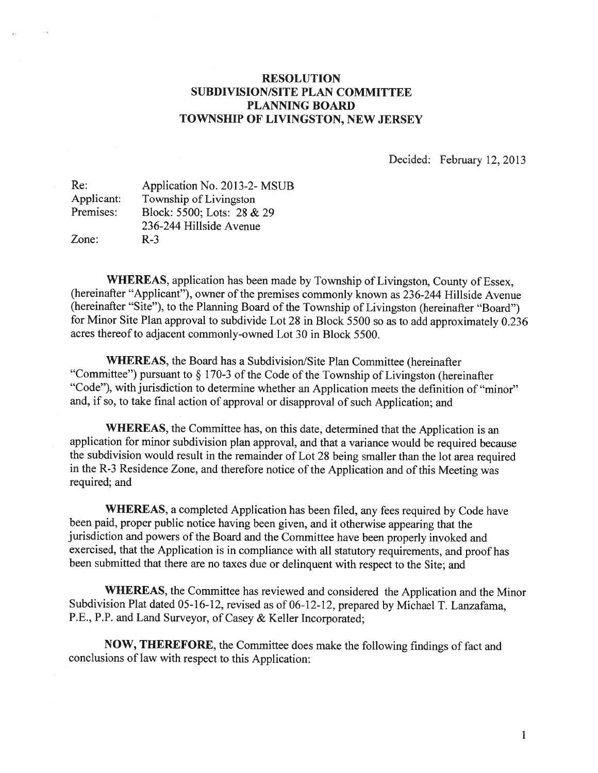## RESOLUTION SUBDIVISION/SITE PLAN COMMITTEE PLANNING BOARD TOWNSHIP OF LIVINGSTON, NEW JERSEY

Decided: February 12, 2013

| Application No. 2013-2-MSUB |
|-----------------------------|
| Township of Livingston      |
| Block: 5500; Lots: 28 & 29  |
| 236-244 Hillside Avenue     |
| $R-3$                       |
|                             |

WHEREAS, application has been made by Township of Livingston, County of Essex, (hereinafter "Applicant"), owner of the premises commonly known as 236-244 Hillside Avenue (hereinafter "Site"), to the Planning Board of the Township of Livingston (hereinafter "Board") for Minor Site Plan approva<sup>l</sup> to subdivide Lot <sup>28</sup> in Block <sup>5500</sup> so as to add approximately 0.236 acres thereof to adjacent commonly-owned Lot 30 in Block 5500.

WHEREAS, the Board has a Subdivision/Site Plan Committee (hereinafter "Committee") pursuant to  $\S 170-3$  of the Code of the Township of Livingston (hereinafter "Code"), with jurisdiction to determine whether an Application meets the definition of "minor" and, if so, to take final action of approva<sup>l</sup> or disapproval of such Application; and

WHEREAS, the Committee has, on this date, determined that the Application is an application for minor subdivision <sup>p</sup>lan approval, and that <sup>a</sup> variance would be required because the subdivision would result in the remainder of Lot <sup>28</sup> being smaller than the lot area required in the R-3 Residence Zone, and therefore notice of the Application and of this Meeting was required; and

WHEREAS, <sup>a</sup> completed Application has been filed, any fees required by Code have been paid, proper public notice having been <sup>g</sup>iven, and it otherwise appearing that the jurisdiction and powers of the Board and the Committee have been properly invoked and exercised, that the Application is in compliance with all statutory requirements, and proo<sup>f</sup> has been submitted that there are no taxes due or delinquent with respec<sup>t</sup> to the Site; and

WHEREAS, the Committee has reviewed and considered the Application and the Minor Subdivision Plat dated 05-16-12, revised as of 06-12-12, prepare<sup>d</sup> by Michael T. Lanzafama, P.E., P.P. and Land Surveyor, of Casey & Keller Incorporated;

NOW, THEREFORE, the Committee does make the following findings of fact and conclusions of law with respec<sup>t</sup> to this Application: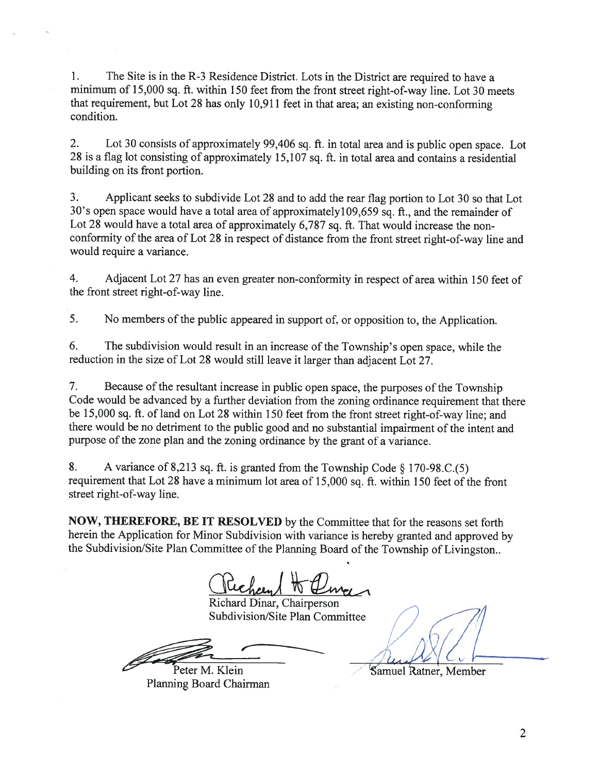1. The Site is in the R-3 Residence District. Lots in the District are required to have <sup>a</sup> minimum of 15,000 sq. ft. within <sup>150</sup> feet from the front street right-of-way line. Lot <sup>30</sup> meets that requirement, but Lot <sup>28</sup> has only 10,911 feet in that area; an existing non-conforming condition.

2. Lot <sup>30</sup> consists of approximately 99,406 sq. ft. in total area and is public open space. Lot <sup>28</sup> is <sup>a</sup> flag lot consisting of approximately 15,107 sq. ft. in total area and contains <sup>a</sup> residential building on its front portion.

3. Applicant seeks to subdivide Lot <sup>28</sup> and to add the rear flag portion to Lot <sup>30</sup> so that Lot 30's open space would have <sup>a</sup> total area of approximatelyl09,659 sq. ft., and the remainder of Lot 28 would have a total area of approximately 6,787 sq. ft. That would increase the nonconformity of the area of Lot 28 in respect of distance from the front street right-of-way line and would require <sup>a</sup> variance.

4. Adjacent Lot <sup>27</sup> has an even greater non-conformity in respec<sup>t</sup> of area within 150 feet of the front street right-of-way line.

5. No members of the public appeared in support of, or opposition to, the Application.

6. The subdivision would result in an increase of the Township's open space, while the reduction in the size of Lot <sup>28</sup> would still leave it larger than adjacent Lot 27.

7. Because of the resultant increase in public open space, the purposes of the Township Code would be advanced by <sup>a</sup> further deviation from the zoning ordinance requirement that there be 15,000 sq. ft. of land on Lot <sup>28</sup> within <sup>150</sup> feet from the front street right-of-way line; and there would be no detriment to the public goo<sup>d</sup> and no substantial impairment of the intent and purpose of the zone <sup>p</sup>lan and the zoning ordinance by the gran<sup>t</sup> of <sup>a</sup> variance.

8. A variance of 8,213 sq. ft. is granted from the Township Code  $\S 170-98$ .C.(5) requirement that Lot 28 have a minimum lot area of 15,000 sq. ft. within 150 feet of the front street right-of-way line.

NOW, THEREFORE, BE IT RESOLVED by the Committee that for the reasons set forth herein the Application for Minor Subdivision with variance is hereby granted and approve<sup>d</sup> by the Subdivision/Site Plan Committee of the Planning Board of the Township of Livingston..

Richard H Eline

Richard Dinar, Chairperson Subdivision/Site Plan Committee

Peter M. Klein

Planning Board Chairman

**Samuel Ratner**, Member

2